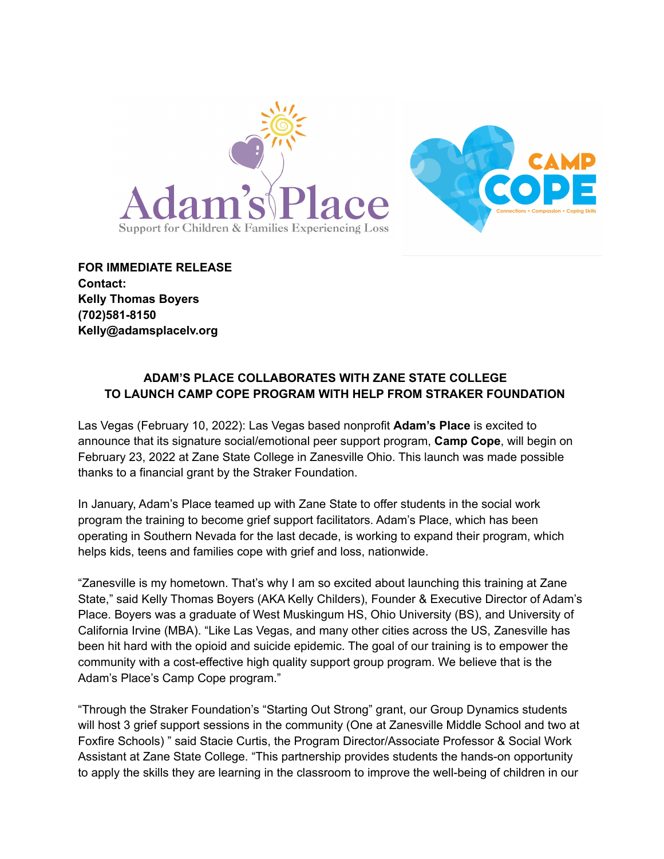



**FOR IMMEDIATE RELEASE Contact: Kelly Thomas Boyers (702)581-8150 Kelly@adamsplacelv.org**

# **ADAM'S PLACE COLLABORATES WITH ZANE STATE COLLEGE TO LAUNCH CAMP COPE PROGRAM WITH HELP FROM STRAKER FOUNDATION**

Las Vegas (February 10, 2022): Las Vegas based nonprofit **Adam's Place** is excited to announce that its signature social/emotional peer support program, **Camp Cope**, will begin on February 23, 2022 at Zane State College in Zanesville Ohio. This launch was made possible thanks to a financial grant by the Straker Foundation.

In January, Adam's Place teamed up with Zane State to offer students in the social work program the training to become grief support facilitators. Adam's Place, which has been operating in Southern Nevada for the last decade, is working to expand their program, which helps kids, teens and families cope with grief and loss, nationwide.

"Zanesville is my hometown. That's why I am so excited about launching this training at Zane State," said Kelly Thomas Boyers (AKA Kelly Childers), Founder & Executive Director of Adam's Place. Boyers was a graduate of West Muskingum HS, Ohio University (BS), and University of California Irvine (MBA). "Like Las Vegas, and many other cities across the US, Zanesville has been hit hard with the opioid and suicide epidemic. The goal of our training is to empower the community with a cost-effective high quality support group program. We believe that is the Adam's Place's Camp Cope program."

"Through the Straker Foundation's "Starting Out Strong" grant, our Group Dynamics students will host 3 grief support sessions in the community (One at Zanesville Middle School and two at Foxfire Schools) " said Stacie Curtis, the Program Director/Associate Professor & Social Work Assistant at Zane State College. "This partnership provides students the hands-on opportunity to apply the skills they are learning in the classroom to improve the well-being of children in our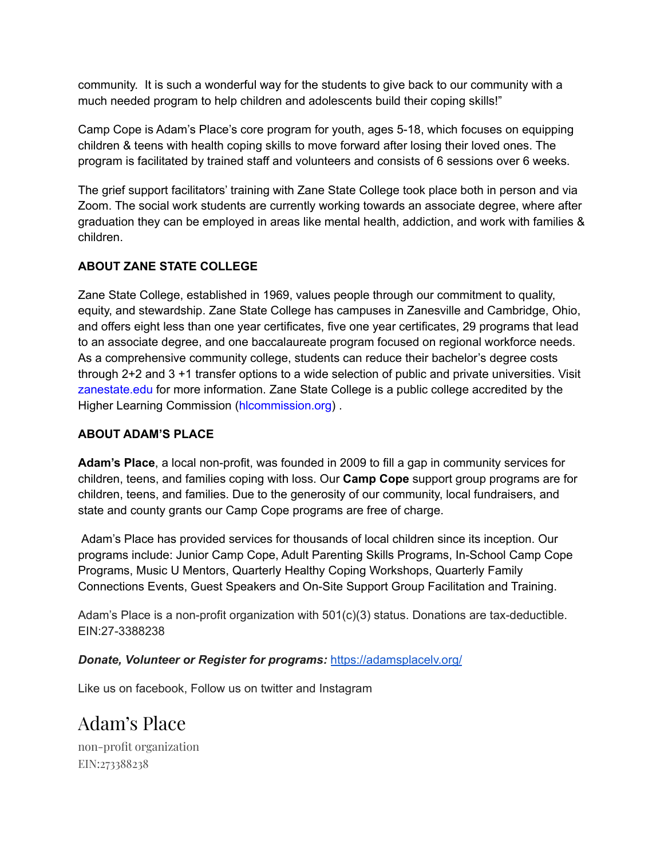community. It is such a wonderful way for the students to give back to our community with a much needed program to help children and adolescents build their coping skills!"

Camp Cope is Adam's Place's core program for youth, ages 5-18, which focuses on equipping children & teens with health coping skills to move forward after losing their loved ones. The program is facilitated by trained staff and volunteers and consists of 6 sessions over 6 weeks.

The grief support facilitators' training with Zane State College took place both in person and via Zoom. The social work students are currently working towards an associate degree, where after graduation they can be employed in areas like mental health, addiction, and work with families & children.

# **ABOUT ZANE STATE COLLEGE**

Zane State College, established in 1969, values people through our commitment to quality, equity, and stewardship. Zane State College has campuses in Zanesville and Cambridge, Ohio, and offers eight less than one year certificates, five one year certificates, 29 programs that lead to an associate degree, and one baccalaureate program focused on regional workforce needs. As a comprehensive community college, students can reduce their bachelor's degree costs through 2+2 and 3 +1 transfer options to a wide selection of public and private universities. Visit zanestate.edu for more information. Zane State College is a public college accredited by the Higher Learning Commission (hlcommission.org) .

### **ABOUT ADAM'S PLACE**

**Adam's Place**, a local non-profit, was founded in 2009 to fill a gap in community services for children, teens, and families coping with loss. Our **Camp Cope** support group programs are for children, teens, and families. Due to the generosity of our community, local fundraisers, and state and county grants our Camp Cope programs are free of charge.

Adam's Place has provided services for thousands of local children since its inception. Our programs include: Junior Camp Cope, Adult Parenting Skills Programs, In-School Camp Cope Programs, Music U Mentors, Quarterly Healthy Coping Workshops, Quarterly Family Connections Events, Guest Speakers and On-Site Support Group Facilitation and Training.

Adam's Place is a non-profit organization with 501(c)(3) status. Donations are tax-deductible. EIN:27-3388238

#### *Donate, Volunteer or Register for programs:* <https://adamsplacelv.org/>

Like us on facebook, Follow us on twitter and Instagram

# Adam's Place

non-profit organization EIN:273388238